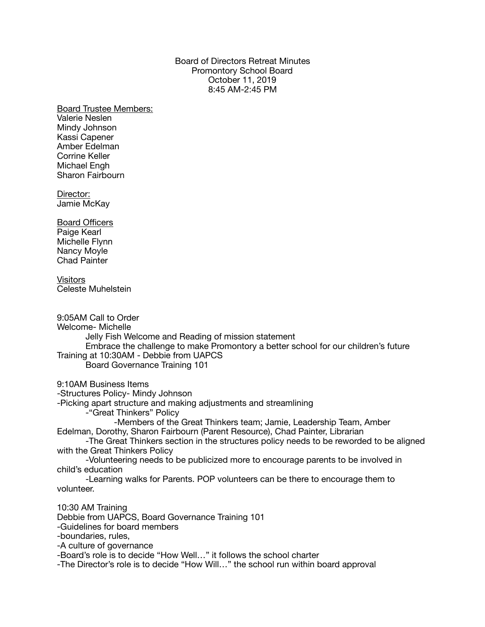## Board of Directors Retreat Minutes Promontory School Board October 11, 2019 8:45 AM-2:45 PM

Board Trustee Members: Valerie Neslen Mindy Johnson Kassi Capener Amber Edelman Corrine Keller Michael Engh Sharon Fairbourn

Director: Jamie McKay

Board Officers Paige Kearl Michelle Flynn Nancy Moyle Chad Painter

**Visitors** Celeste Muhelstein

9:05AM Call to Order Welcome- Michelle Jelly Fish Welcome and Reading of mission statement Embrace the challenge to make Promontory a better school for our children's future Training at 10:30AM - Debbie from UAPCS Board Governance Training 101

9:10AM Business Items

-Structures Policy- Mindy Johnson

-Picking apart structure and making adjustments and streamlining

-"Great Thinkers" Policy

 -Members of the Great Thinkers team; Jamie, Leadership Team, Amber Edelman, Dorothy, Sharon Fairbourn (Parent Resource), Chad Painter, Librarian

-The Great Thinkers section in the structures policy needs to be reworded to be aligned with the Great Thinkers Policy

-Volunteering needs to be publicized more to encourage parents to be involved in child's education

-Learning walks for Parents. POP volunteers can be there to encourage them to volunteer.

10:30 AM Training Debbie from UAPCS, Board Governance Training 101 -Guidelines for board members -boundaries, rules, -A culture of governance -Board's role is to decide "How Well…" it follows the school charter -The Director's role is to decide "How Will…" the school run within board approval